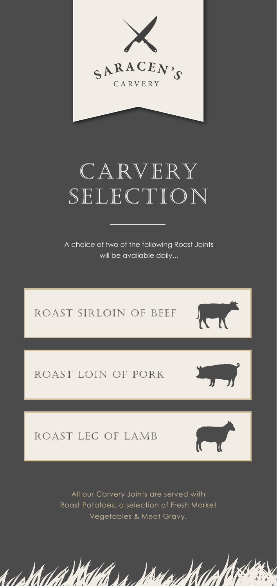

# CARVERY SELECTION

A choice of two of the following Roast Joints will be available daily...



All our Carvery Joints are served with Roast Potatoes, a selection of Fresh Market Vegetables & Meat Gravy.

Le Vans

t*dell*l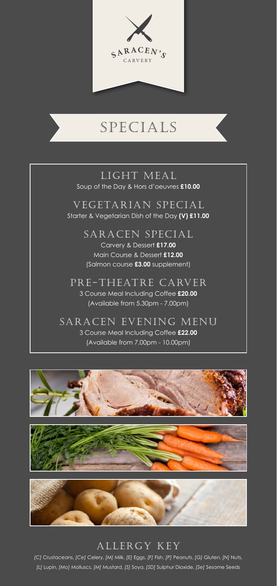

## SPECIALS

### LIGHT MEAL Soup of the Day & Hors d'oeuvres **£10.00**

VEGETARIAN SPECIAL Starter & Vegetarian Dish of the Day **(V) £11.00** 

> SARACEN SPECIAL Carvery & Dessert **£17.00** Main Course & Dessert **£12.00** (Salmon course **£3.00** supplement)

PRE-THEATRE CARVER 3 Course Meal Including Coffee **£20.00** (Available from 5.30pm - 7.00pm)

SARACEN EVENING MENU 3 Course Meal Including Coffee **£22.00** (Available from 7.00pm - 10.00pm)







### ALLERGY KEY

*[C]* Crustaceans, *[Ce]* Celery, *[M]* Milk, *[E]* Eggs, *[F]* Fish, *[P]* Peanuts, *[G]* Gluten, *[N]* Nuts, *[L]* Lupin, *[Mo]* Molluscs, *[M]* Mustard, *[S]* Soya, *[SD]* Sulphur Dioxide, *[Se]* Sesame Seeds